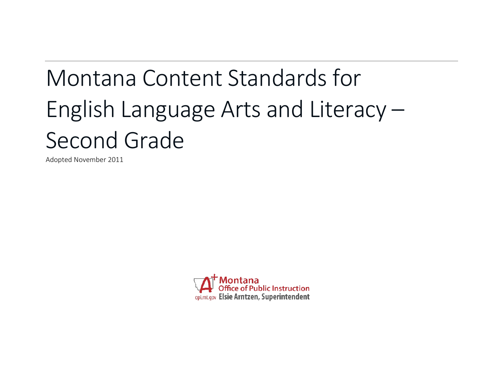# Montana Content Standards for English Language Arts and Literacy – Second Grade

Adopted November 2011

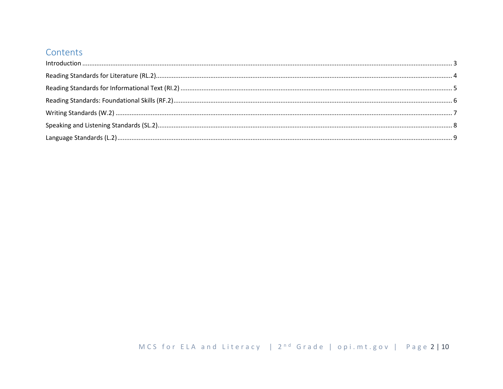## Contents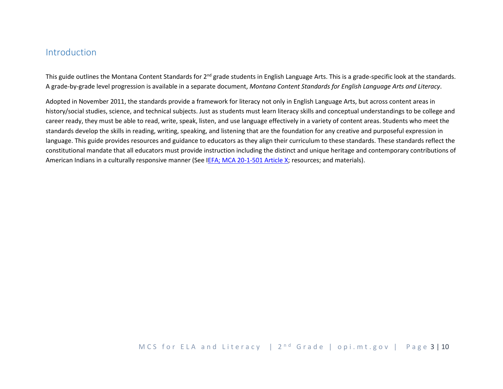## <span id="page-2-0"></span>Introduction

This guide outlines the Montana Content Standards for 2<sup>nd</sup> grade students in English Language Arts. This is a grade-specific look at the standards. A grade-by-grade level progression is available in a separate document, *Montana Content Standards for English Language Arts and Literacy*.

Adopted in November 2011, the standards provide a framework for literacy not only in English Language Arts, but across content areas in history/social studies, science, and technical subjects. Just as students must learn literacy skills and conceptual understandings to be college and career ready, they must be able to read, write, speak, listen, and use language effectively in a variety of content areas. Students who meet the standards develop the skills in reading, writing, speaking, and listening that are the foundation for any creative and purposeful expression in language. This guide provides resources and guidance to educators as they align their curriculum to these standards. These standards reflect the constitutional mandate that all educators must provide instruction including the distinct and unique heritage and contemporary contributions of American Indians in a culturally responsive manner (See [IEFA; MCA 20-1-501 Article X;](http://www.opi.mt.gov/PDF/IndianEd/Resources/ArticleX_IEFA.pdf) resources; and materials).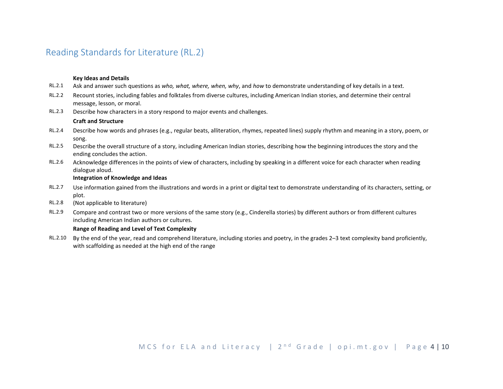# <span id="page-3-0"></span>Reading Standards for Literature (RL.2)

#### **Key Ideas and Details**

- RL.2.1 Ask and answer such questions as *who, what, where, when, why*, and *how* to demonstrate understanding of key details in a text.
- RL.2.2 Recount stories, including fables and folktales from diverse cultures, including American Indian stories, and determine their central message, lesson, or moral.
- RL.2.3 Describe how characters in a story respond to major events and challenges.

#### **Craft and Structure**

- RL.2.4 Describe how words and phrases (e.g., regular beats, alliteration, rhymes, repeated lines) supply rhythm and meaning in a story, poem, or song.
- RL.2.5 Describe the overall structure of a story, including American Indian stories, describing how the beginning introduces the story and the ending concludes the action.
- RL.2.6 Acknowledge differences in the points of view of characters, including by speaking in a different voice for each character when reading dialogue aloud.

#### **Integration of Knowledge and Ideas**

- RL.2.7 Use information gained from the illustrations and words in a print or digital text to demonstrate understanding of its characters, setting, or plot.
- RL.2.8 (Not applicable to literature)
- RL.2.9 Compare and contrast two or more versions of the same story (e.g., Cinderella stories) by different authors or from different cultures including American Indian authors or cultures.

#### **Range of Reading and Level of Text Complexity**

RL.2.10 By the end of the year, read and comprehend literature, including stories and poetry, in the grades 2–3 text complexity band proficiently, with scaffolding as needed at the high end of the range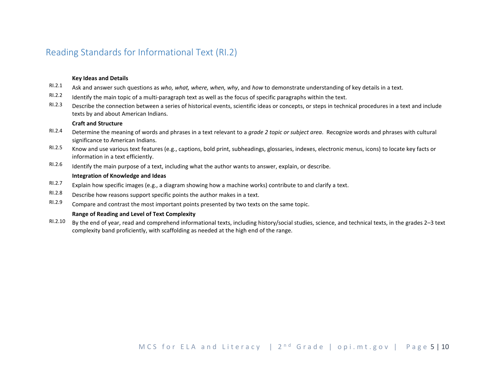# <span id="page-4-0"></span>Reading Standards for Informational Text (RI.2)

#### **Key Ideas and Details**

- RI.2.1 Ask and answer such questions as *who, what, where, when, why*, and *how* to demonstrate understanding of key details in a text.
- $R1.2.2$  Identify the main topic of a multi-paragraph text as well as the focus of specific paragraphs within the text.
- RI.2.3 Describe the connection between a series of historical events, scientific ideas or concepts, or steps in technical procedures in a text and include texts by and about American Indians.

#### **Craft and Structure**

- RI.2.4 Determine the meaning of words and phrases in a text relevant to a *grade 2 topic or subject area*. Recognize words and phrases with cultural significance to American Indians.
- RI.2.5 Know and use various text features (e.g., captions, bold print, subheadings, glossaries, indexes, electronic menus, icons) to locate key facts or information in a text efficiently.
- RI.2.6 Identify the main purpose of a text, including what the author wants to answer, explain, or describe.

#### **Integration of Knowledge and Ideas**

- RI.2.7 Explain how specific images (e.g., a diagram showing how a machine works) contribute to and clarify a text.
- RI.2.8 Describe how reasons support specific points the author makes in a text.
- RI.2.9 Compare and contrast the most important points presented by two texts on the same topic.

#### **Range of Reading and Level of Text Complexity**

RI.2.10 By the end of year, read and comprehend informational texts, including history/social studies, science, and technical texts, in the grades 2–3 text complexity band proficiently, with scaffolding as needed at the high end of the range.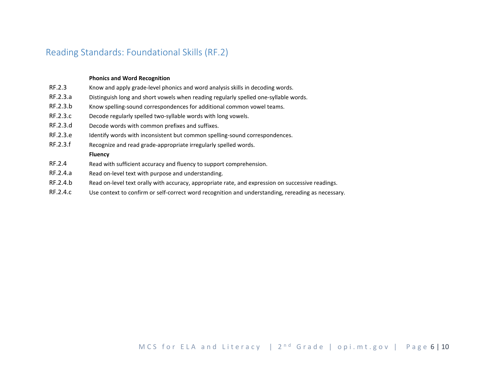## <span id="page-5-0"></span>Reading Standards: Foundational Skills (RF.2)

#### **Phonics and Word Recognition**

- RF.2.3 Know and apply grade-level phonics and word analysis skills in decoding words.
- RF.2.3.a Distinguish long and short vowels when reading regularly spelled one-syllable words.
- RF.2.3.b Know spelling-sound correspondences for additional common vowel teams.
- RF.2.3.c Decode regularly spelled two-syllable words with long vowels.
- RF.2.3.d Decode words with common prefixes and suffixes.
- RF.2.3.e Identify words with inconsistent but common spelling-sound correspondences.
- RF.2.3.f Recognize and read grade-appropriate irregularly spelled words.

#### **Fluency**

- RF.2.4 Read with sufficient accuracy and fluency to support comprehension.
- RF.2.4.a Read on-level text with purpose and understanding.
- RF.2.4.b Read on-level text orally with accuracy, appropriate rate, and expression on successive readings.
- RF.2.4.c Use context to confirm or self-correct word recognition and understanding, rereading as necessary.

## MCS for ELA and Literacy |  $2^{nd}$  Grade | opi.mt.gov | Page 6 | 10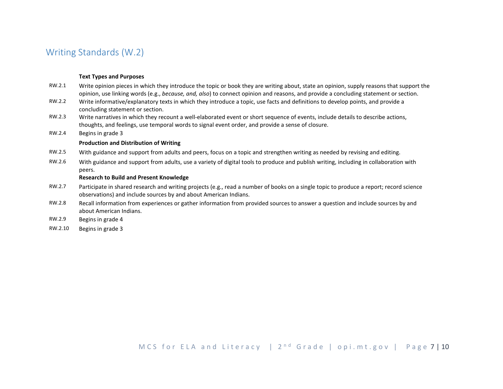## <span id="page-6-0"></span>Writing Standards (W.2)

#### **Text Types and Purposes**

- RW.2.1 Write opinion pieces in which they introduce the topic or book they are writing about, state an opinion, supply reasons that support the opinion, use linking words (e.g., *because, and, also*) to connect opinion and reasons, and provide a concluding statement or section.
- RW.2.2 Write informative/explanatory texts in which they introduce a topic, use facts and definitions to develop points, and provide a concluding statement or section.
- RW.2.3 Write narratives in which they recount a well-elaborated event or short sequence of events, include details to describe actions, thoughts, and feelings, use temporal words to signal event order, and provide a sense of closure.
- RW.2.4 Begins in grade 3

#### **Production and Distribution of Writing**

- RW.2.5 With guidance and support from adults and peers, focus on a topic and strengthen writing as needed by revising and editing.
- RW.2.6 With guidance and support from adults, use a variety of digital tools to produce and publish writing, including in collaboration with peers.

#### **Research to Build and Present Knowledge**

- RW.2.7 Participate in shared research and writing projects (e.g., read a number of books on a single topic to produce a report; record science observations) and include sources by and about American Indians.
- RW.2.8 Recall information from experiences or gather information from provided sources to answer a question and include sources by and about American Indians.
- RW.2.9 Begins in grade 4
- RW.2.10 Begins in grade 3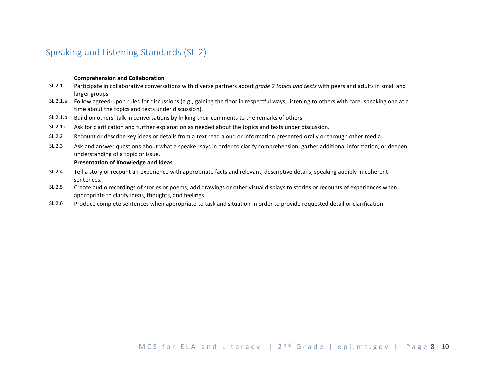# <span id="page-7-0"></span>Speaking and Listening Standards (SL.2)

#### **Comprehension and Collaboration**

- SL.2.1 Participate in collaborative conversations with diverse partners about *grade 2 topics and texts* with peers and adults in small and larger groups.
- SL.2.1.a Follow agreed-upon rules for discussions (e.g., gaining the floor in respectful ways, listening to others with care, speaking one at a time about the topics and texts under discussion).
- SL.2.1.b Build on others' talk in conversations by linking their comments to the remarks of others.
- SL.2.1.c Ask for clarification and further explanation as needed about the topics and texts under discussion.
- SL.2.2 Recount or describe key ideas or details from a text read aloud or information presented orally or through other media.
- SL.2.3 Ask and answer questions about what a speaker says in order to clarify comprehension, gather additional information, or deepen understanding of a topic or issue.

#### **Presentation of Knowledge and Ideas**

- SL.2.4 Tell a story or recount an experience with appropriate facts and relevant, descriptive details, speaking audibly in coherent sentences.
- SL.2.5 Create audio recordings of stories or poems; add drawings or other visual displays to stories or recounts of experiences when appropriate to clarify ideas, thoughts, and feelings.
- SL.2.6 Produce complete sentences when appropriate to task and situation in order to provide requested detail or clarification.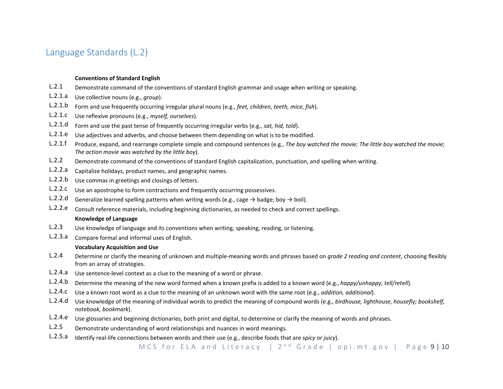## <span id="page-8-0"></span>Language Standards (L.2)

#### **Conventions of Standard English**

- L.2.1 Demonstrate command of the conventions of standard English grammar and usage when writing or speaking.
- L.2.1.a Use collective nouns (e.g., *group*).
- L.2.1.b Form and use frequently occurring irregular plural nouns (e.g., *feet, children, teeth, mice, fish*).
- L.2.1.c Use reflexive pronouns (e.g., *myself, ourselves*).
- L.2.1.d Form and use the past tense of frequently occurring irregular verbs (e.g., *sat, hid, told*).
- L.2.1.e Use adjectives and adverbs, and choose between them depending on what is to be modified.
- L.2.1.f Produce, expand, and rearrange complete simple and compound sentences (e.g., *The boy watched the movie; The little boy watched the movie; The action movie was watched by the little boy*).
- L.2.2 Demonstrate command of the conventions of standard English capitalization, punctuation, and spelling when writing.
- L.2.2.a Capitalize holidays, product names, and geographic names.
- L.2.2.b Use commas in greetings and closings of letters.
- L.2.2.c Use an apostrophe to form contractions and frequently occurring possessives.
- L.2.2.d Generalize learned spelling patterns when writing words (e.g., cage  $\rightarrow$  badge; boy  $\rightarrow$  boil).
- L.2.2.e Consult reference materials, including beginning dictionaries, as needed to check and correct spellings.

#### **Knowledge of Language**

- L.2.3 Use knowledge of language and its conventions when writing, speaking, reading, or listening.
- L.2.3.a Compare formal and informal uses of English.

#### **Vocabulary Acquisition and Use**

- L.2.4 Determine or clarify the meaning of unknown and multiple-meaning words and phrases based on *grade 2 reading and content*, choosing flexibly from an array of strategies.
- L.2.4.a Use sentence-level context as a clue to the meaning of a word or phrase.
- L.2.4.b Determine the meaning of the new word formed when a known prefix is added to a known word (e.g., *happy/unhappy, tell/retell*).
- L.2.4.c Use a known root word as a clue to the meaning of an unknown word with the same root (e.g., *addition, additional*).
- L.2.4.d Use knowledge of the meaning of individual words to predict the meaning of compound words (e.g., *birdhouse, lighthouse, housefly; bookshelf, notebook, bookmark*).
- L.2.4.e Use glossaries and beginning dictionaries, both print and digital, to determine or clarify the meaning of words and phrases.
- L.2.5 Demonstrate understanding of word relationships and nuances in word meanings.
- L.2.5.a Identify real-life connections between words and their use (e.g., describe foods that are *spicy* or *juicy*).